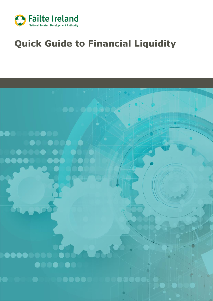

# **Quick Guide to Financial Liquidity**